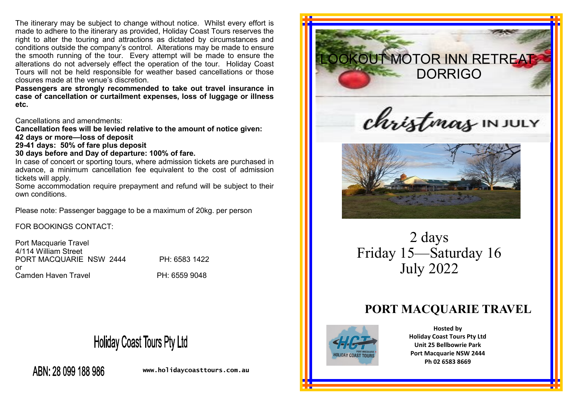The itinerary may be subject to change without notice. Whilst every effort is made to adhere to the itinerary as provided, Holiday Coast Tours reserves the right to alter the touring and attractions as dictated by circumstances and conditions outside the company's control. Alterations may be made to ensure the smooth running of the tour. Every attempt will be made to ensure the alterations do not adversely effect the operation of the tour. Holiday Coast Tours will not be held responsible for weather based cancellations or those closures made at the venue's discretion.

**Passengers are strongly recommended to take out travel insurance in case of cancellation or curtailment expenses, loss of luggage or illness etc.** 

Cancellations and amendments:

**Cancellation fees will be levied relative to the amount of notice given: 42 days or more—loss of deposit**

**29-41 days: 50% of fare plus deposit**

#### **30 days before and Day of departure: 100% of fare.**

In case of concert or sporting tours, where admission tickets are purchased in advance, a minimum cancellation fee equivalent to the cost of admission tickets will apply.

Some accommodation require prepayment and refund will be subject to their own conditions.

Please note: Passenger baggage to be a maximum of 20kg. per person

FOR BOOKINGS CONTACT:

Port Macquarie Travel 4/114 William Street PORT MACQUARIE NSW 2444 PH: 6583 1422 or Camden Haven Travel **PH: 6559 9048** 

# **Holiday Coast Tours Pty Ltd**

ABN: 28 099 188 986

**www.holidaycoasttours.com.au**





2 days Friday 15—Saturday 16 July 2022

## **PORT MACQUARIE TRAVEL**



**Hosted by Holiday Coast Tours Pty Ltd Unit 25 Bellbowrie Park Port Macquarie NSW 2444 Ph 02 6583 8669**